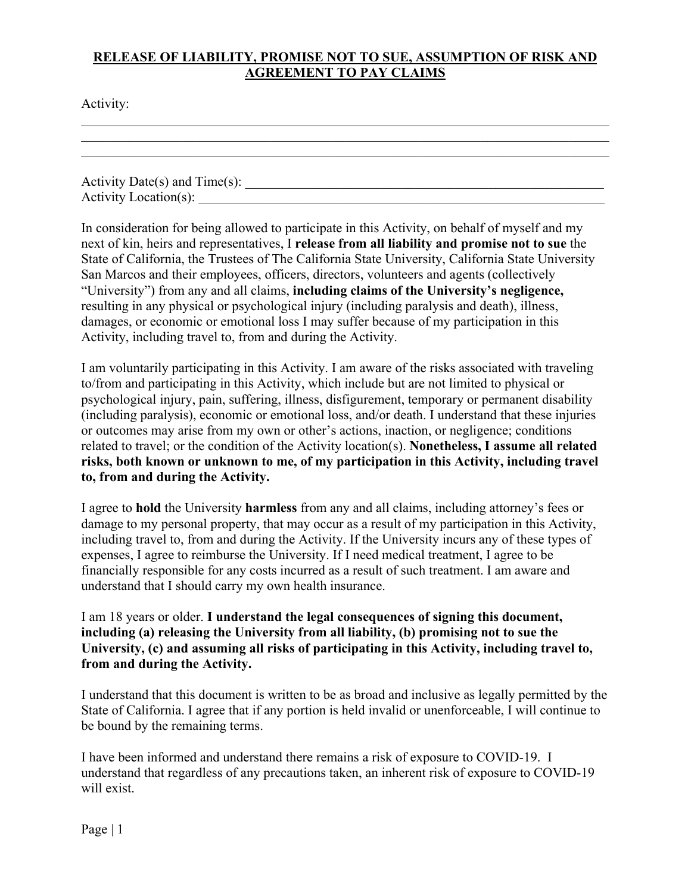## **RELEASE OF LIABILITY, PROMISE NOT TO SUE, ASSUMPTION OF RISK AND AGREEMENT TO PAY CLAIMS**

Activity:

| Activity Date(s) and $Time(s)$ : |  |  |
|----------------------------------|--|--|
|                                  |  |  |
| Activity Location(s):            |  |  |
|                                  |  |  |

\_\_\_\_\_\_\_\_\_\_\_\_\_\_\_\_\_\_\_\_\_\_\_\_\_\_\_\_\_\_\_\_\_\_\_\_\_\_\_\_\_\_\_\_\_\_\_\_\_\_\_\_\_\_\_\_\_\_\_\_\_\_\_\_\_\_\_\_\_\_\_\_\_\_\_\_\_\_

In consideration for being allowed to participate in this Activity, on behalf of myself and my next of kin, heirs and representatives, I **release from all liability and promise not to sue** the State of California, the Trustees of The California State University, California State University San Marcos and their employees, officers, directors, volunteers and agents (collectively "University") from any and all claims, **including claims of the University's negligence,**  resulting in any physical or psychological injury (including paralysis and death), illness, damages, or economic or emotional loss I may suffer because of my participation in this Activity, including travel to, from and during the Activity.

I am voluntarily participating in this Activity. I am aware of the risks associated with traveling to/from and participating in this Activity, which include but are not limited to physical or psychological injury, pain, suffering, illness, disfigurement, temporary or permanent disability (including paralysis), economic or emotional loss, and/or death. I understand that these injuries or outcomes may arise from my own or other's actions, inaction, or negligence; conditions related to travel; or the condition of the Activity location(s). **Nonetheless, I assume all related risks, both known or unknown to me, of my participation in this Activity, including travel to, from and during the Activity.** 

I agree to **hold** the University **harmless** from any and all claims, including attorney's fees or damage to my personal property, that may occur as a result of my participation in this Activity, including travel to, from and during the Activity. If the University incurs any of these types of expenses, I agree to reimburse the University. If I need medical treatment, I agree to be financially responsible for any costs incurred as a result of such treatment. I am aware and understand that I should carry my own health insurance.

I am 18 years or older. **I understand the legal consequences of signing this document, including (a) releasing the University from all liability, (b) promising not to sue the University, (c) and assuming all risks of participating in this Activity, including travel to, from and during the Activity.** 

I understand that this document is written to be as broad and inclusive as legally permitted by the State of California. I agree that if any portion is held invalid or unenforceable, I will continue to be bound by the remaining terms.

I have been informed and understand there remains a risk of exposure to COVID-19. I understand that regardless of any precautions taken, an inherent risk of exposure to COVID-19 will exist.